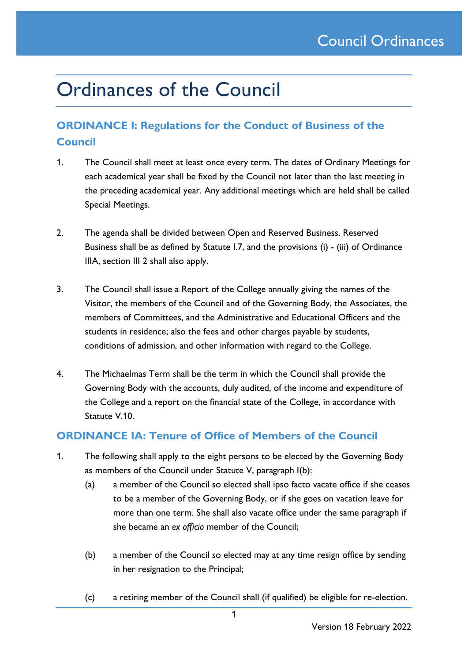# Ordinances of the Council

## **ORDINANCE I: Regulations for the Conduct of Business of the Council**

- 1. The Council shall meet at least once every term. The dates of Ordinary Meetings for each academical year shall be fixed by the Council not later than the last meeting in the preceding academical year. Any additional meetings which are held shall be called Special Meetings.
- 2. The agenda shall be divided between Open and Reserved Business. Reserved Business shall be as defined by Statute I.7, and the provisions (i) - (iii) of Ordinance IIIA, section III 2 shall also apply.
- 3. The Council shall issue a Report of the College annually giving the names of the Visitor, the members of the Council and of the Governing Body, the Associates, the members of Committees, and the Administrative and Educational Officers and the students in residence; also the fees and other charges payable by students, conditions of admission, and other information with regard to the College.
- 4. The Michaelmas Term shall be the term in which the Council shall provide the Governing Body with the accounts, duly audited, of the income and expenditure of the College and a report on the financial state of the College, in accordance with Statute V.10.

### **ORDINANCE IA: Tenure of Office of Members of the Council**

- 1. The following shall apply to the eight persons to be elected by the Governing Body as members of the Council under Statute V, paragraph I(b):
	- (a) a member of the Council so elected shall ipso facto vacate office if she ceases to be a member of the Governing Body, or if she goes on vacation leave for more than one term. She shall also vacate office under the same paragraph if she became an *ex officio* member of the Council;
	- (b) a member of the Council so elected may at any time resign office by sending in her resignation to the Principal;
	- (c) a retiring member of the Council shall (if qualified) be eligible for re-election.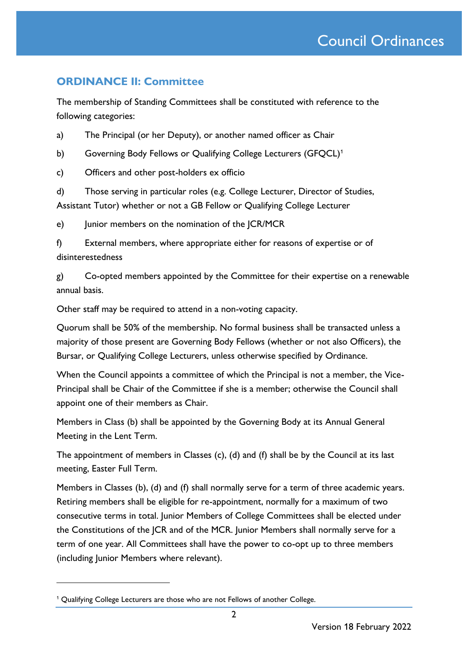### **ORDINANCE II: Committee**

The membership of Standing Committees shall be constituted with reference to the following categories:

a) The Principal (or her Deputy), or another named officer as Chair

b) Governing Body Fellows or Qualifying College Lecturers (GFQCL)<sup>1</sup>

c) Officers and other post-holders ex officio

d) Those serving in particular roles (e.g. College Lecturer, Director of Studies, Assistant Tutor) whether or not a GB Fellow or Qualifying College Lecturer

e) Junior members on the nomination of the JCR/MCR

f) External members, where appropriate either for reasons of expertise or of disinterestedness

g) Co-opted members appointed by the Committee for their expertise on a renewable annual basis.

Other staff may be required to attend in a non-voting capacity.

Quorum shall be 50% of the membership. No formal business shall be transacted unless a majority of those present are Governing Body Fellows (whether or not also Officers), the Bursar, or Qualifying College Lecturers, unless otherwise specified by Ordinance.

When the Council appoints a committee of which the Principal is not a member, the Vice-Principal shall be Chair of the Committee if she is a member; otherwise the Council shall appoint one of their members as Chair.

Members in Class (b) shall be appointed by the Governing Body at its Annual General Meeting in the Lent Term.

The appointment of members in Classes (c), (d) and (f) shall be by the Council at its last meeting, Easter Full Term.

Members in Classes (b), (d) and (f) shall normally serve for a term of three academic years. Retiring members shall be eligible for re-appointment, normally for a maximum of two consecutive terms in total. Junior Members of College Committees shall be elected under the Constitutions of the JCR and of the MCR. Junior Members shall normally serve for a term of one year. All Committees shall have the power to co-opt up to three members (including Junior Members where relevant).

<sup>&</sup>lt;sup>1</sup> Qualifying College Lecturers are those who are not Fellows of another College.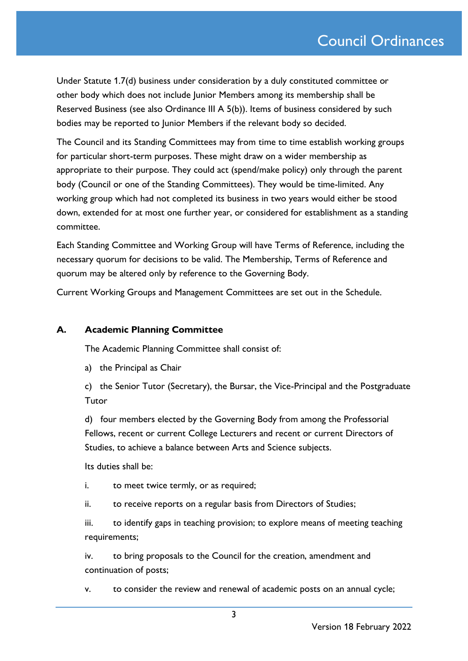Under Statute 1.7(d) business under consideration by a duly constituted committee or other body which does not include Junior Members among its membership shall be Reserved Business (see also Ordinance III A 5(b)). Items of business considered by such bodies may be reported to Junior Members if the relevant body so decided.

The Council and its Standing Committees may from time to time establish working groups for particular short-term purposes. These might draw on a wider membership as appropriate to their purpose. They could act (spend/make policy) only through the parent body (Council or one of the Standing Committees). They would be time-limited. Any working group which had not completed its business in two years would either be stood down, extended for at most one further year, or considered for establishment as a standing committee.

Each Standing Committee and Working Group will have Terms of Reference, including the necessary quorum for decisions to be valid. The Membership, Terms of Reference and quorum may be altered only by reference to the Governing Body.

Current Working Groups and Management Committees are set out in the Schedule.

### **A. Academic Planning Committee**

The Academic Planning Committee shall consist of:

a) the Principal as Chair

c) the Senior Tutor (Secretary), the Bursar, the Vice-Principal and the Postgraduate Tutor

d) four members elected by the Governing Body from among the Professorial Fellows, recent or current College Lecturers and recent or current Directors of Studies, to achieve a balance between Arts and Science subjects.

Its duties shall be:

i. to meet twice termly, or as required;

ii. to receive reports on a regular basis from Directors of Studies;

iii. to identify gaps in teaching provision; to explore means of meeting teaching requirements;

iv. to bring proposals to the Council for the creation, amendment and continuation of posts;

v. to consider the review and renewal of academic posts on an annual cycle;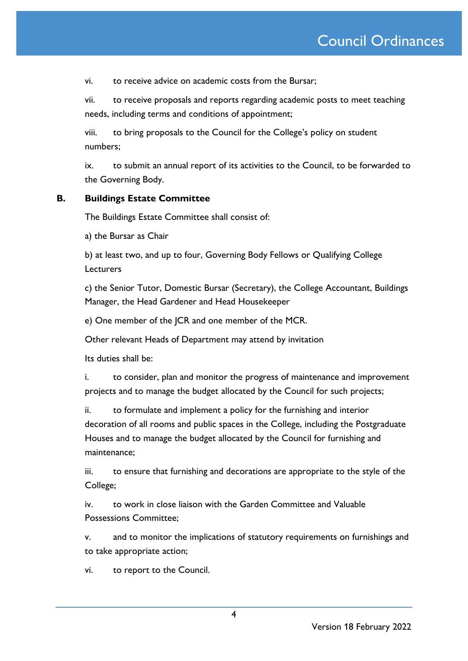vi. to receive advice on academic costs from the Bursar;

vii. to receive proposals and reports regarding academic posts to meet teaching needs, including terms and conditions of appointment;

viii. to bring proposals to the Council for the College's policy on student numbers;

ix. to submit an annual report of its activities to the Council, to be forwarded to the Governing Body.

### **B. Buildings Estate Committee**

The Buildings Estate Committee shall consist of:

a) the Bursar as Chair

b) at least two, and up to four, Governing Body Fellows or Qualifying College **Lecturers** 

c) the Senior Tutor, Domestic Bursar (Secretary), the College Accountant, Buildings Manager, the Head Gardener and Head Housekeeper

e) One member of the JCR and one member of the MCR.

Other relevant Heads of Department may attend by invitation

Its duties shall be:

i. to consider, plan and monitor the progress of maintenance and improvement projects and to manage the budget allocated by the Council for such projects;

ii. to formulate and implement a policy for the furnishing and interior decoration of all rooms and public spaces in the College, including the Postgraduate Houses and to manage the budget allocated by the Council for furnishing and maintenance;

iii. to ensure that furnishing and decorations are appropriate to the style of the College;

iv. to work in close liaison with the Garden Committee and Valuable Possessions Committee;

v. and to monitor the implications of statutory requirements on furnishings and to take appropriate action;

vi. to report to the Council.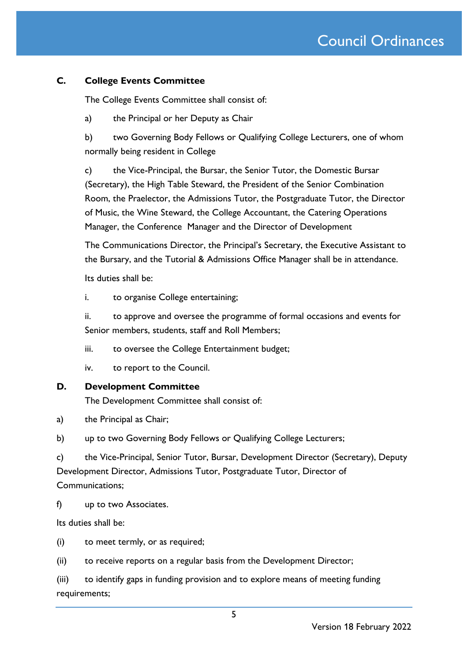### **C. College Events Committee**

The College Events Committee shall consist of:

a) the Principal or her Deputy as Chair

b) two Governing Body Fellows or Qualifying College Lecturers, one of whom normally being resident in College

c) the Vice-Principal, the Bursar, the Senior Tutor, the Domestic Bursar (Secretary), the High Table Steward, the President of the Senior Combination Room, the Praelector, the Admissions Tutor, the Postgraduate Tutor, the Director of Music, the Wine Steward, the College Accountant, the Catering Operations Manager, the Conference Manager and the Director of Development

The Communications Director, the Principal's Secretary, the Executive Assistant to the Bursary, and the Tutorial & Admissions Office Manager shall be in attendance.

Its duties shall be:

i. to organise College entertaining;

ii. to approve and oversee the programme of formal occasions and events for Senior members, students, staff and Roll Members;

iii. to oversee the College Entertainment budget;

iv. to report to the Council.

### **D. Development Committee**

The Development Committee shall consist of:

a) the Principal as Chair;

b) up to two Governing Body Fellows or Qualifying College Lecturers;

c) the Vice-Principal, Senior Tutor, Bursar, Development Director (Secretary), Deputy Development Director, Admissions Tutor, Postgraduate Tutor, Director of Communications;

f) up to two Associates.

Its duties shall be:

(i) to meet termly, or as required;

(ii) to receive reports on a regular basis from the Development Director;

(iii) to identify gaps in funding provision and to explore means of meeting funding requirements;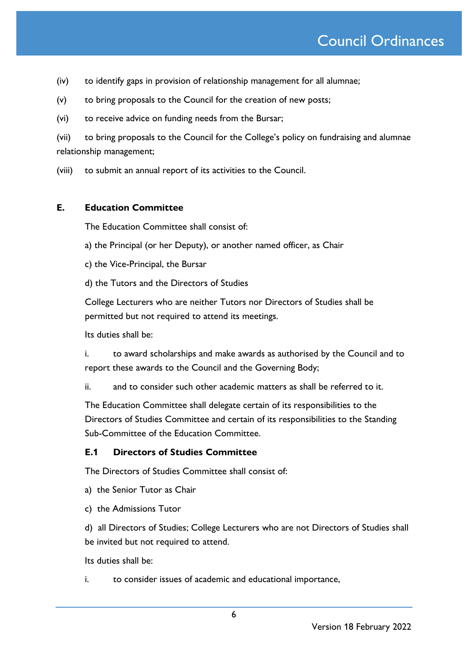- (iv) to identify gaps in provision of relationship management for all alumnae;
- (v) to bring proposals to the Council for the creation of new posts;
- (vi) to receive advice on funding needs from the Bursar;
- (vii) to bring proposals to the Council for the College's policy on fundraising and alumnae relationship management;
- (viii) to submit an annual report of its activities to the Council.

### **E. Education Committee**

The Education Committee shall consist of:

- a) the Principal (or her Deputy), or another named officer, as Chair
- c) the Vice-Principal, the Bursar
- d) the Tutors and the Directors of Studies

College Lecturers who are neither Tutors nor Directors of Studies shall be permitted but not required to attend its meetings.

Its duties shall be:

i. to award scholarships and make awards as authorised by the Council and to report these awards to the Council and the Governing Body;

ii. and to consider such other academic matters as shall be referred to it.

The Education Committee shall delegate certain of its responsibilities to the Directors of Studies Committee and certain of its responsibilities to the Standing Sub-Committee of the Education Committee.

### **E.1 Directors of Studies Committee**

The Directors of Studies Committee shall consist of:

- a) the Senior Tutor as Chair
- c) the Admissions Tutor

d) all Directors of Studies; College Lecturers who are not Directors of Studies shall be invited but not required to attend.

Its duties shall be:

i. to consider issues of academic and educational importance,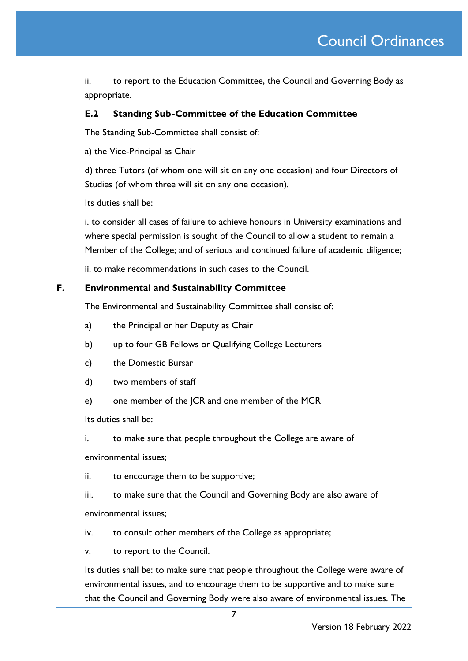ii. to report to the Education Committee, the Council and Governing Body as appropriate.

### **E.2 Standing Sub-Committee of the Education Committee**

The Standing Sub-Committee shall consist of:

a) the Vice-Principal as Chair

d) three Tutors (of whom one will sit on any one occasion) and four Directors of Studies (of whom three will sit on any one occasion).

Its duties shall be:

i. to consider all cases of failure to achieve honours in University examinations and where special permission is sought of the Council to allow a student to remain a Member of the College; and of serious and continued failure of academic diligence;

ii. to make recommendations in such cases to the Council.

### **F. Environmental and Sustainability Committee**

The Environmental and Sustainability Committee shall consist of:

- a) the Principal or her Deputy as Chair
- b) up to four GB Fellows or Qualifying College Lecturers
- c) the Domestic Bursar
- d) two members of staff
- e) one member of the JCR and one member of the MCR

Its duties shall be:

i. to make sure that people throughout the College are aware of

environmental issues;

ii. to encourage them to be supportive;

iii. to make sure that the Council and Governing Body are also aware of environmental issues;

iv. to consult other members of the College as appropriate;

v. to report to the Council.

Its duties shall be: to make sure that people throughout the College were aware of environmental issues, and to encourage them to be supportive and to make sure that the Council and Governing Body were also aware of environmental issues. The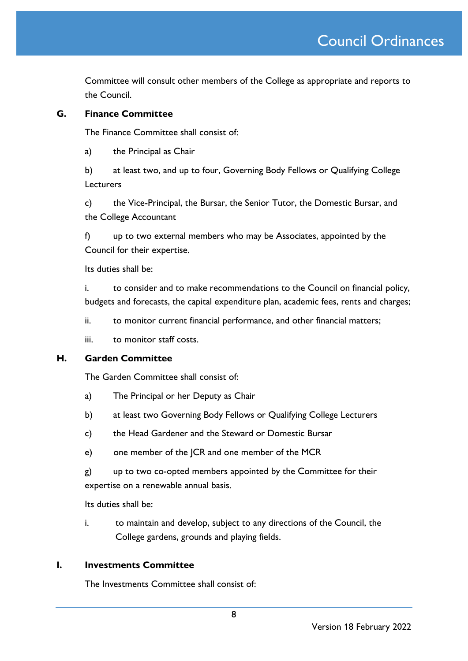Committee will consult other members of the College as appropriate and reports to the Council.

### **G. Finance Committee**

The Finance Committee shall consist of:

a) the Principal as Chair

b) at least two, and up to four, Governing Body Fellows or Qualifying College Lecturers

c) the Vice-Principal, the Bursar, the Senior Tutor, the Domestic Bursar, and the College Accountant

f) up to two external members who may be Associates, appointed by the Council for their expertise.

Its duties shall be:

i. to consider and to make recommendations to the Council on financial policy, budgets and forecasts, the capital expenditure plan, academic fees, rents and charges;

ii. to monitor current financial performance, and other financial matters;

iii. to monitor staff costs.

### **H. Garden Committee**

The Garden Committee shall consist of:

- a) The Principal or her Deputy as Chair
- b) at least two Governing Body Fellows or Qualifying College Lecturers
- c) the Head Gardener and the Steward or Domestic Bursar
- e) one member of the JCR and one member of the MCR

g) up to two co-opted members appointed by the Committee for their expertise on a renewable annual basis.

Its duties shall be:

i. to maintain and develop, subject to any directions of the Council, the College gardens, grounds and playing fields.

### **I. Investments Committee**

The Investments Committee shall consist of: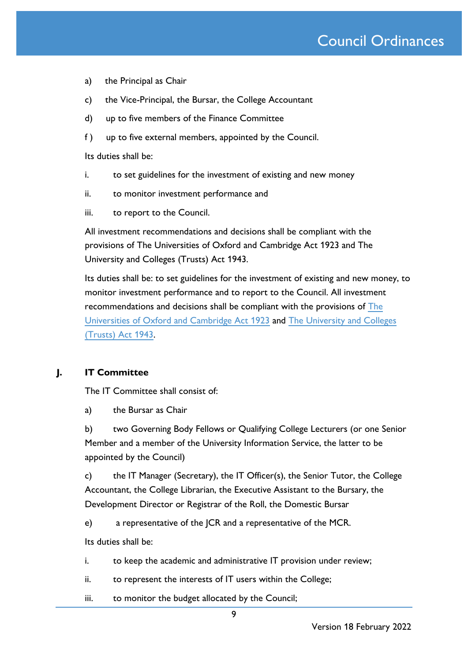- a) the Principal as Chair
- c) the Vice-Principal, the Bursar, the College Accountant
- d) up to five members of the Finance Committee
- f ) up to five external members, appointed by the Council.

Its duties shall be:

- i. to set guidelines for the investment of existing and new money
- ii. to monitor investment performance and
- iii. to report to the Council.

All investment recommendations and decisions shall be compliant with the provisions of The Universities of Oxford and Cambridge Act 1923 and The University and Colleges (Trusts) Act 1943.

Its duties shall be: to set guidelines for the investment of existing and new money, to monitor investment performance and to report to the Council. All investment recommendations and decisions shall be compliant with the provisions of [The](http://www.legislation.gov.uk/ukpga/Geo5/13-14/33/contents)  [Universities of Oxford and Cambridge Act 1923](http://www.legislation.gov.uk/ukpga/Geo5/13-14/33/contents) and [The University and Colleges](http://www.legislation.gov.uk/ukpga/Geo6/6-7/9/contents)  [\(Trusts\) Act 1943.](http://www.legislation.gov.uk/ukpga/Geo6/6-7/9/contents)

### **J. IT Committee**

The IT Committee shall consist of:

a) the Bursar as Chair

b) two Governing Body Fellows or Qualifying College Lecturers (or one Senior Member and a member of the University Information Service, the latter to be appointed by the Council)

c) the IT Manager (Secretary), the IT Officer(s), the Senior Tutor, the College Accountant, the College Librarian, the Executive Assistant to the Bursary, the Development Director or Registrar of the Roll, the Domestic Bursar

e) a representative of the JCR and a representative of the MCR.

Its duties shall be:

- i. to keep the academic and administrative IT provision under review;
- ii. to represent the interests of IT users within the College;
- iii. to monitor the budget allocated by the Council;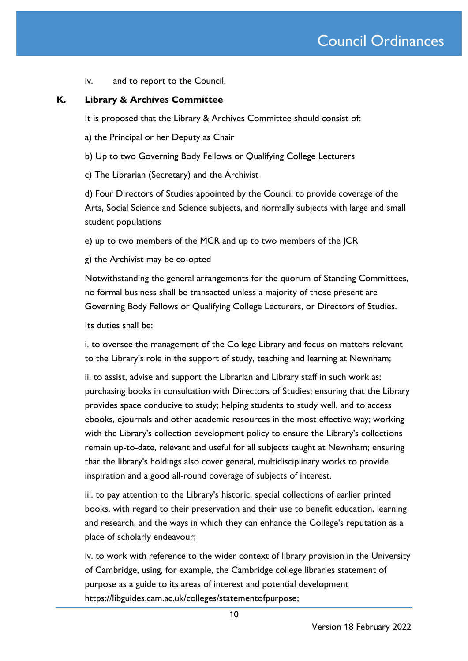iv. and to report to the Council.

### **K. Library & Archives Committee**

It is proposed that the Library & Archives Committee should consist of:

a) the Principal or her Deputy as Chair

b) Up to two Governing Body Fellows or Qualifying College Lecturers

c) The Librarian (Secretary) and the Archivist

d) Four Directors of Studies appointed by the Council to provide coverage of the Arts, Social Science and Science subjects, and normally subjects with large and small student populations

e) up to two members of the MCR and up to two members of the JCR

g) the Archivist may be co-opted

Notwithstanding the general arrangements for the quorum of Standing Committees, no formal business shall be transacted unless a majority of those present are Governing Body Fellows or Qualifying College Lecturers, or Directors of Studies.

Its duties shall be:

i. to oversee the management of the College Library and focus on matters relevant to the Library's role in the support of study, teaching and learning at Newnham;

ii. to assist, advise and support the Librarian and Library staff in such work as: purchasing books in consultation with Directors of Studies; ensuring that the Library provides space conducive to study; helping students to study well, and to access ebooks, ejournals and other academic resources in the most effective way; working with the Library's collection development policy to ensure the Library's collections remain up-to-date, relevant and useful for all subjects taught at Newnham; ensuring that the library's holdings also cover general, multidisciplinary works to provide inspiration and a good all-round coverage of subjects of interest.

iii. to pay attention to the Library's historic, special collections of earlier printed books, with regard to their preservation and their use to benefit education, learning and research, and the ways in which they can enhance the College's reputation as a place of scholarly endeavour;

iv. to work with reference to the wider context of library provision in the University of Cambridge, using, for example, the Cambridge college libraries statement of purpose as a guide to its areas of interest and potential development [https://libguides.cam.ac.uk/colleges/statementofpurpose;](https://libguides.cam.ac.uk/colleges/statementofpurpose)

Version 18 February 2022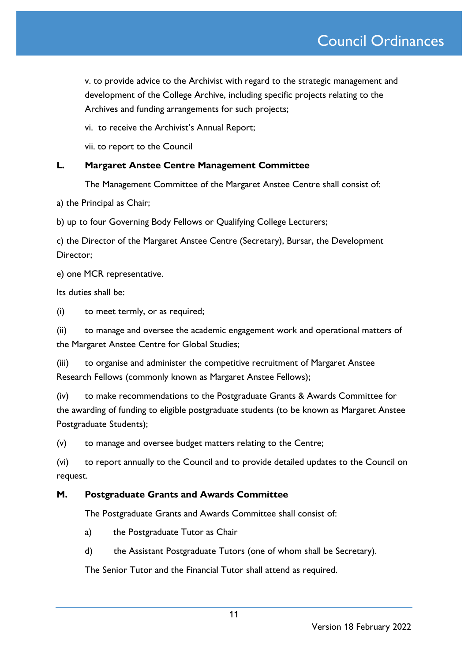v. to provide advice to the Archivist with regard to the strategic management and development of the College Archive, including specific projects relating to the Archives and funding arrangements for such projects;

vi. to receive the Archivist's Annual Report;

vii. to report to the Council

### **L. Margaret Anstee Centre Management Committee**

The Management Committee of the Margaret Anstee Centre shall consist of:

a) the Principal as Chair;

b) up to four Governing Body Fellows or Qualifying College Lecturers;

c) the Director of the Margaret Anstee Centre (Secretary), Bursar, the Development Director;

e) one MCR representative.

Its duties shall be:

(i) to meet termly, or as required;

(ii) to manage and oversee the academic engagement work and operational matters of the Margaret Anstee Centre for Global Studies;

(iii) to organise and administer the competitive recruitment of Margaret Anstee Research Fellows (commonly known as Margaret Anstee Fellows);

(iv) to make recommendations to the Postgraduate Grants & Awards Committee for the awarding of funding to eligible postgraduate students (to be known as Margaret Anstee Postgraduate Students);

(v) to manage and oversee budget matters relating to the Centre;

(vi) to report annually to the Council and to provide detailed updates to the Council on request.

### **M. Postgraduate Grants and Awards Committee**

The Postgraduate Grants and Awards Committee shall consist of:

- a) the Postgraduate Tutor as Chair
- d) the Assistant Postgraduate Tutors (one of whom shall be Secretary).

The Senior Tutor and the Financial Tutor shall attend as required.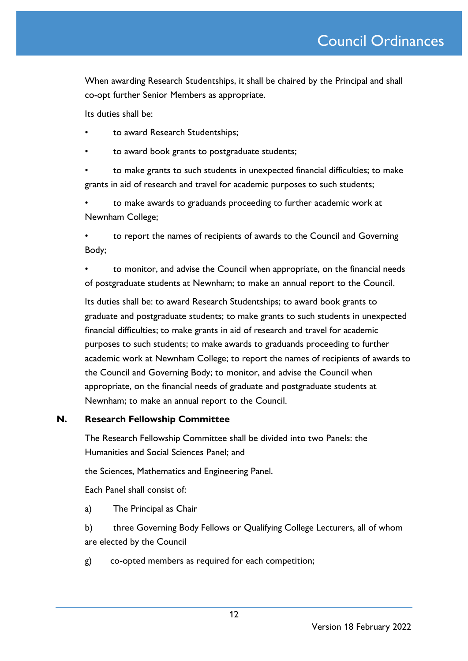When awarding Research Studentships, it shall be chaired by the Principal and shall co-opt further Senior Members as appropriate.

Its duties shall be:

- to award Research Studentships;
- to award book grants to postgraduate students;

• to make grants to such students in unexpected financial difficulties; to make grants in aid of research and travel for academic purposes to such students;

• to make awards to graduands proceeding to further academic work at Newnham College;

• to report the names of recipients of awards to the Council and Governing Body;

• to monitor, and advise the Council when appropriate, on the financial needs of postgraduate students at Newnham; to make an annual report to the Council.

Its duties shall be: to award Research Studentships; to award book grants to graduate and postgraduate students; to make grants to such students in unexpected financial difficulties; to make grants in aid of research and travel for academic purposes to such students; to make awards to graduands proceeding to further academic work at Newnham College; to report the names of recipients of awards to the Council and Governing Body; to monitor, and advise the Council when appropriate, on the financial needs of graduate and postgraduate students at Newnham; to make an annual report to the Council.

### **N. Research Fellowship Committee**

The Research Fellowship Committee shall be divided into two Panels: the Humanities and Social Sciences Panel; and

the Sciences, Mathematics and Engineering Panel.

Each Panel shall consist of:

a) The Principal as Chair

b) three Governing Body Fellows or Qualifying College Lecturers, all of whom are elected by the Council

g) co-opted members as required for each competition;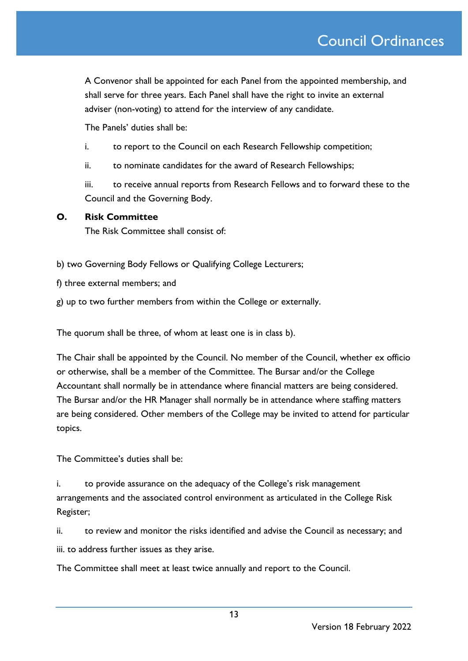A Convenor shall be appointed for each Panel from the appointed membership, and shall serve for three years. Each Panel shall have the right to invite an external adviser (non-voting) to attend for the interview of any candidate.

The Panels' duties shall be:

- i. to report to the Council on each Research Fellowship competition;
- ii. to nominate candidates for the award of Research Fellowships;

iii. to receive annual reports from Research Fellows and to forward these to the Council and the Governing Body.

### **O. Risk Committee**

The Risk Committee shall consist of:

b) two Governing Body Fellows or Qualifying College Lecturers;

f) three external members; and

g) up to two further members from within the College or externally.

The quorum shall be three, of whom at least one is in class b).

The Chair shall be appointed by the Council. No member of the Council, whether ex officio or otherwise, shall be a member of the Committee. The Bursar and/or the College Accountant shall normally be in attendance where financial matters are being considered. The Bursar and/or the HR Manager shall normally be in attendance where staffing matters are being considered. Other members of the College may be invited to attend for particular topics.

The Committee's duties shall be:

i. to provide assurance on the adequacy of the College's risk management arrangements and the associated control environment as articulated in the College Risk Register;

ii. to review and monitor the risks identified and advise the Council as necessary; and iii. to address further issues as they arise.

The Committee shall meet at least twice annually and report to the Council.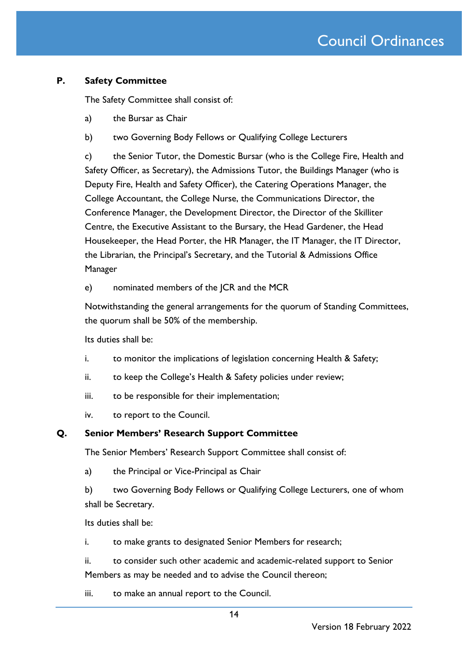### **P. Safety Committee**

The Safety Committee shall consist of:

- a) the Bursar as Chair
- b) two Governing Body Fellows or Qualifying College Lecturers

c) the Senior Tutor, the Domestic Bursar (who is the College Fire, Health and Safety Officer, as Secretary), the Admissions Tutor, the Buildings Manager (who is Deputy Fire, Health and Safety Officer), the Catering Operations Manager, the College Accountant, the College Nurse, the Communications Director, the Conference Manager, the Development Director, the Director of the Skilliter Centre, the Executive Assistant to the Bursary, the Head Gardener, the Head Housekeeper, the Head Porter, the HR Manager, the IT Manager, the IT Director, the Librarian, the Principal's Secretary, and the Tutorial & Admissions Office Manager

e) nominated members of the JCR and the MCR

Notwithstanding the general arrangements for the quorum of Standing Committees, the quorum shall be 50% of the membership.

Its duties shall be:

- i. to monitor the implications of legislation concerning Health & Safety;
- ii. to keep the College's Health & Safety policies under review;
- iii. to be responsible for their implementation;
- iv. to report to the Council.

### **Q. Senior Members' Research Support Committee**

The Senior Members' Research Support Committee shall consist of:

a) the Principal or Vice-Principal as Chair

b) two Governing Body Fellows or Qualifying College Lecturers, one of whom shall be Secretary.

Its duties shall be:

i. to make grants to designated Senior Members for research;

ii. to consider such other academic and academic-related support to Senior Members as may be needed and to advise the Council thereon;

iii. to make an annual report to the Council.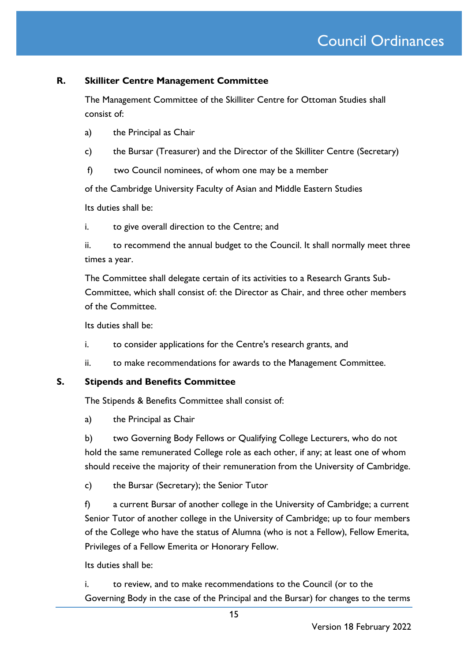### **R. Skilliter Centre Management Committee**

The Management Committee of the Skilliter Centre for Ottoman Studies shall consist of:

- a) the Principal as Chair
- c) the Bursar (Treasurer) and the Director of the Skilliter Centre (Secretary)
- f) two Council nominees, of whom one may be a member

of the Cambridge University Faculty of Asian and Middle Eastern Studies

Its duties shall be:

i. to give overall direction to the Centre; and

ii. to recommend the annual budget to the Council. It shall normally meet three times a year.

The Committee shall delegate certain of its activities to a Research Grants Sub-Committee, which shall consist of: the Director as Chair, and three other members of the Committee.

Its duties shall be:

- i. to consider applications for the Centre's research grants, and
- ii. to make recommendations for awards to the Management Committee.

**S. Stipends and Benefits Committee**

The Stipends & Benefits Committee shall consist of:

a) the Principal as Chair

b) two Governing Body Fellows or Qualifying College Lecturers, who do not hold the same remunerated College role as each other, if any; at least one of whom should receive the majority of their remuneration from the University of Cambridge.

c) the Bursar (Secretary); the Senior Tutor

f) a current Bursar of another college in the University of Cambridge; a current Senior Tutor of another college in the University of Cambridge; up to four members of the College who have the status of Alumna (who is not a Fellow), Fellow Emerita, Privileges of a Fellow Emerita or Honorary Fellow.

Its duties shall be:

i. to review, and to make recommendations to the Council (or to the Governing Body in the case of the Principal and the Bursar) for changes to the terms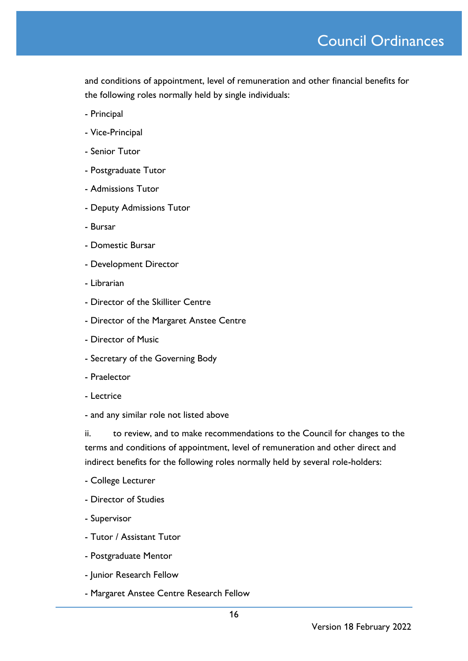and conditions of appointment, level of remuneration and other financial benefits for the following roles normally held by single individuals:

- Principal
- Vice-Principal
- Senior Tutor
- Postgraduate Tutor
- Admissions Tutor
- Deputy Admissions Tutor
- Bursar
- Domestic Bursar
- Development Director
- Librarian
- Director of the Skilliter Centre
- Director of the Margaret Anstee Centre
- Director of Music
- Secretary of the Governing Body
- Praelector
- Lectrice
- and any similar role not listed above

ii. to review, and to make recommendations to the Council for changes to the terms and conditions of appointment, level of remuneration and other direct and indirect benefits for the following roles normally held by several role-holders:

- College Lecturer
- Director of Studies
- Supervisor
- Tutor / Assistant Tutor
- Postgraduate Mentor
- Junior Research Fellow
- Margaret Anstee Centre Research Fellow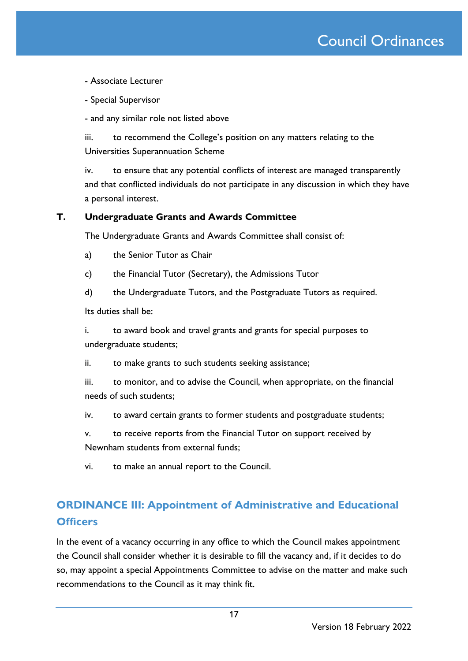## Council Ordinances

- Associate Lecturer

- Special Supervisor

- and any similar role not listed above

iii. to recommend the College's position on any matters relating to the Universities Superannuation Scheme

iv. to ensure that any potential conflicts of interest are managed transparently and that conflicted individuals do not participate in any discussion in which they have a personal interest.

### **T. Undergraduate Grants and Awards Committee**

The Undergraduate Grants and Awards Committee shall consist of:

a) the Senior Tutor as Chair

- c) the Financial Tutor (Secretary), the Admissions Tutor
- d) the Undergraduate Tutors, and the Postgraduate Tutors as required.

Its duties shall be:

i. to award book and travel grants and grants for special purposes to undergraduate students;

ii. to make grants to such students seeking assistance;

iii. to monitor, and to advise the Council, when appropriate, on the financial needs of such students;

iv. to award certain grants to former students and postgraduate students;

v. to receive reports from the Financial Tutor on support received by Newnham students from external funds;

vi. to make an annual report to the Council.

## **ORDINANCE III: Appointment of Administrative and Educational Officers**

In the event of a vacancy occurring in any office to which the Council makes appointment the Council shall consider whether it is desirable to fill the vacancy and, if it decides to do so, may appoint a special Appointments Committee to advise on the matter and make such recommendations to the Council as it may think fit.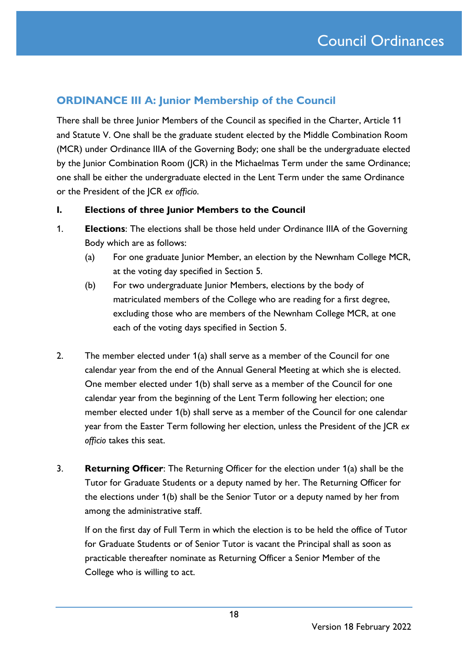## **ORDINANCE III A: Junior Membership of the Council**

There shall be three Junior Members of the Council as specified in the Charter, Article 11 and Statute V. One shall be the graduate student elected by the Middle Combination Room (MCR) under Ordinance IIIA of the Governing Body; one shall be the undergraduate elected by the Junior Combination Room (JCR) in the Michaelmas Term under the same Ordinance; one shall be either the undergraduate elected in the Lent Term under the same Ordinance or the President of the JCR *ex officio*.

### **I. Elections of three Junior Members to the Council**

- 1. **Elections**: The elections shall be those held under Ordinance IIIA of the Governing Body which are as follows:
	- (a) For one graduate Junior Member, an election by the Newnham College MCR, at the voting day specified in Section 5.
	- (b) For two undergraduate Junior Members, elections by the body of matriculated members of the College who are reading for a first degree, excluding those who are members of the Newnham College MCR, at one each of the voting days specified in Section 5.
- 2. The member elected under 1(a) shall serve as a member of the Council for one calendar year from the end of the Annual General Meeting at which she is elected. One member elected under 1(b) shall serve as a member of the Council for one calendar year from the beginning of the Lent Term following her election; one member elected under 1(b) shall serve as a member of the Council for one calendar year from the Easter Term following her election, unless the President of the JCR *ex officio* takes this seat.
- 3. **Returning Officer**: The Returning Officer for the election under 1(a) shall be the Tutor for Graduate Students or a deputy named by her. The Returning Officer for the elections under 1(b) shall be the Senior Tutor or a deputy named by her from among the administrative staff.

If on the first day of Full Term in which the election is to be held the office of Tutor for Graduate Students or of Senior Tutor is vacant the Principal shall as soon as practicable thereafter nominate as Returning Officer a Senior Member of the College who is willing to act.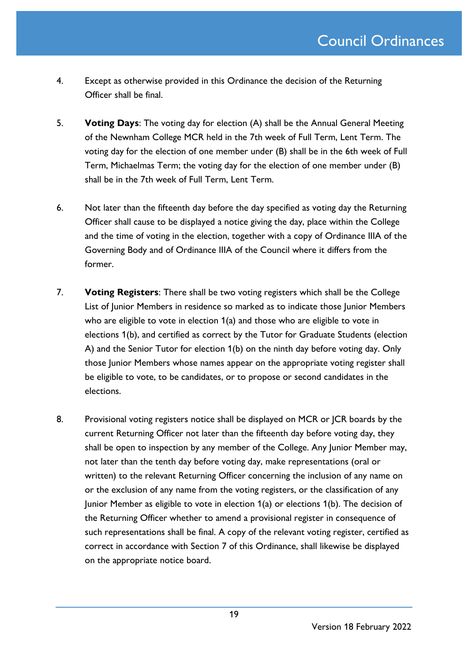- 4. Except as otherwise provided in this Ordinance the decision of the Returning Officer shall be final.
- 5. **Voting Days**: The voting day for election (A) shall be the Annual General Meeting of the Newnham College MCR held in the 7th week of Full Term, Lent Term. The voting day for the election of one member under (B) shall be in the 6th week of Full Term, Michaelmas Term; the voting day for the election of one member under (B) shall be in the 7th week of Full Term, Lent Term.
- 6. Not later than the fifteenth day before the day specified as voting day the Returning Officer shall cause to be displayed a notice giving the day, place within the College and the time of voting in the election, together with a copy of Ordinance IIIA of the Governing Body and of Ordinance IIIA of the Council where it differs from the former.
- 7. **Voting Registers**: There shall be two voting registers which shall be the College List of Junior Members in residence so marked as to indicate those Junior Members who are eligible to vote in election 1(a) and those who are eligible to vote in elections 1(b), and certified as correct by the Tutor for Graduate Students (election A) and the Senior Tutor for election 1(b) on the ninth day before voting day. Only those Junior Members whose names appear on the appropriate voting register shall be eligible to vote, to be candidates, or to propose or second candidates in the elections.
- 8. Provisional voting registers notice shall be displayed on MCR or JCR boards by the current Returning Officer not later than the fifteenth day before voting day, they shall be open to inspection by any member of the College. Any Junior Member may, not later than the tenth day before voting day, make representations (oral or written) to the relevant Returning Officer concerning the inclusion of any name on or the exclusion of any name from the voting registers, or the classification of any Junior Member as eligible to vote in election 1(a) or elections 1(b). The decision of the Returning Officer whether to amend a provisional register in consequence of such representations shall be final. A copy of the relevant voting register, certified as correct in accordance with Section 7 of this Ordinance, shall likewise be displayed on the appropriate notice board.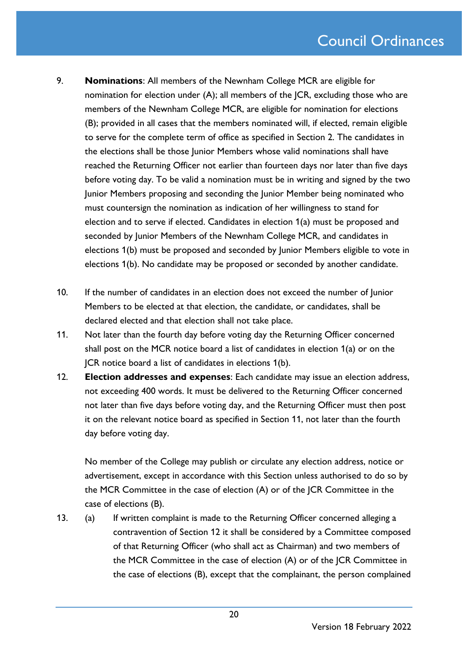- 9. **Nominations**: All members of the Newnham College MCR are eligible for nomination for election under (A); all members of the JCR, excluding those who are members of the Newnham College MCR, are eligible for nomination for elections (B); provided in all cases that the members nominated will, if elected, remain eligible to serve for the complete term of office as specified in Section 2. The candidates in the elections shall be those Junior Members whose valid nominations shall have reached the Returning Officer not earlier than fourteen days nor later than five days before voting day. To be valid a nomination must be in writing and signed by the two Junior Members proposing and seconding the Junior Member being nominated who must countersign the nomination as indication of her willingness to stand for election and to serve if elected. Candidates in election 1(a) must be proposed and seconded by Junior Members of the Newnham College MCR, and candidates in elections 1(b) must be proposed and seconded by Junior Members eligible to vote in elections 1(b). No candidate may be proposed or seconded by another candidate.
- 10. If the number of candidates in an election does not exceed the number of Junior Members to be elected at that election, the candidate, or candidates, shall be declared elected and that election shall not take place.
- 11. Not later than the fourth day before voting day the Returning Officer concerned shall post on the MCR notice board a list of candidates in election 1(a) or on the JCR notice board a list of candidates in elections 1(b).
- 12. **Election addresses and expenses**: Each candidate may issue an election address, not exceeding 400 words. It must be delivered to the Returning Officer concerned not later than five days before voting day, and the Returning Officer must then post it on the relevant notice board as specified in Section 11, not later than the fourth day before voting day.

No member of the College may publish or circulate any election address, notice or advertisement, except in accordance with this Section unless authorised to do so by the MCR Committee in the case of election (A) or of the JCR Committee in the case of elections (B).

13. (a) If written complaint is made to the Returning Officer concerned alleging a contravention of Section 12 it shall be considered by a Committee composed of that Returning Officer (who shall act as Chairman) and two members of the MCR Committee in the case of election (A) or of the JCR Committee in the case of elections (B), except that the complainant, the person complained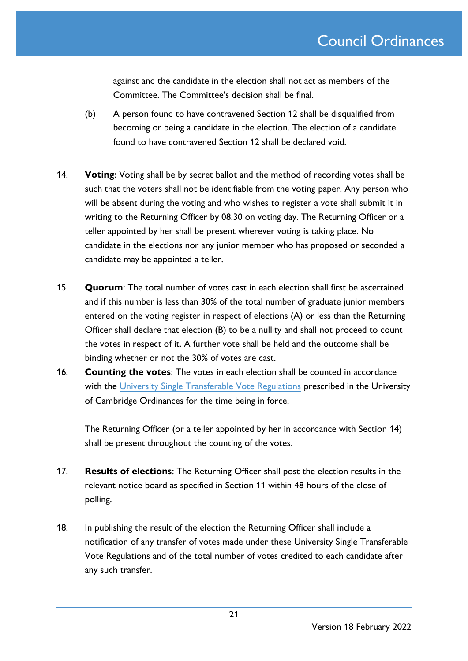against and the candidate in the election shall not act as members of the Committee. The Committee's decision shall be final.

- (b) A person found to have contravened Section 12 shall be disqualified from becoming or being a candidate in the election. The election of a candidate found to have contravened Section 12 shall be declared void.
- 14. **Voting**: Voting shall be by secret ballot and the method of recording votes shall be such that the voters shall not be identifiable from the voting paper. Any person who will be absent during the voting and who wishes to register a vote shall submit it in writing to the Returning Officer by 08.30 on voting day. The Returning Officer or a teller appointed by her shall be present wherever voting is taking place. No candidate in the elections nor any junior member who has proposed or seconded a candidate may be appointed a teller.
- 15. **Quorum**: The total number of votes cast in each election shall first be ascertained and if this number is less than 30% of the total number of graduate junior members entered on the voting register in respect of elections (A) or less than the Returning Officer shall declare that election (B) to be a nullity and shall not proceed to count the votes in respect of it. A further vote shall be held and the outcome shall be binding whether or not the 30% of votes are cast.
- 16. **Counting the votes**: The votes in each election shall be counted in accordance with the [University Single Transferable Vote Regulations](https://www.governance.cam.ac.uk/ballots/rh/Pages/STV-explained.aspx) prescribed in the University of Cambridge Ordinances for the time being in force.

The Returning Officer (or a teller appointed by her in accordance with Section 14) shall be present throughout the counting of the votes.

- 17. **Results of elections**: The Returning Officer shall post the election results in the relevant notice board as specified in Section 11 within 48 hours of the close of polling.
- 18. In publishing the result of the election the Returning Officer shall include a notification of any transfer of votes made under these University Single Transferable Vote Regulations and of the total number of votes credited to each candidate after any such transfer.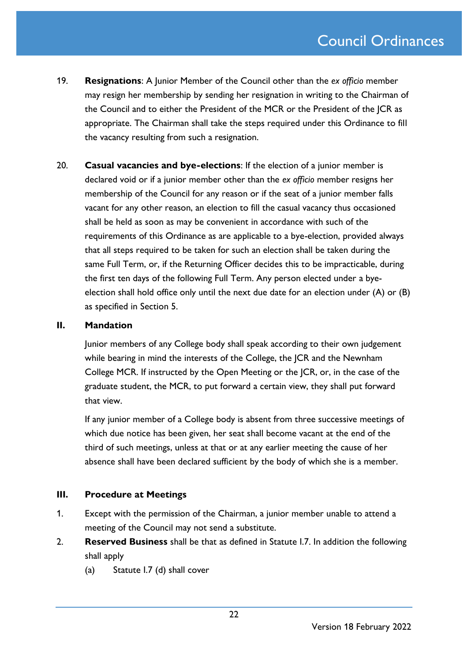- 19. **Resignations**: A Junior Member of the Council other than the *ex officio* member may resign her membership by sending her resignation in writing to the Chairman of the Council and to either the President of the MCR or the President of the JCR as appropriate. The Chairman shall take the steps required under this Ordinance to fill the vacancy resulting from such a resignation.
- 20. **Casual vacancies and bye-elections**: If the election of a junior member is declared void or if a junior member other than the *ex officio* member resigns her membership of the Council for any reason or if the seat of a junior member falls vacant for any other reason, an election to fill the casual vacancy thus occasioned shall be held as soon as may be convenient in accordance with such of the requirements of this Ordinance as are applicable to a bye-election, provided always that all steps required to be taken for such an election shall be taken during the same Full Term, or, if the Returning Officer decides this to be impracticable, during the first ten days of the following Full Term. Any person elected under a byeelection shall hold office only until the next due date for an election under (A) or (B) as specified in Section 5.

### **II. Mandation**

Junior members of any College body shall speak according to their own judgement while bearing in mind the interests of the College, the JCR and the Newnham College MCR. If instructed by the Open Meeting or the JCR, or, in the case of the graduate student, the MCR, to put forward a certain view, they shall put forward that view.

If any junior member of a College body is absent from three successive meetings of which due notice has been given, her seat shall become vacant at the end of the third of such meetings, unless at that or at any earlier meeting the cause of her absence shall have been declared sufficient by the body of which she is a member.

### **III. Procedure at Meetings**

- 1. Except with the permission of the Chairman, a junior member unable to attend a meeting of the Council may not send a substitute.
- 2. **Reserved Business** shall be that as defined in Statute I.7. In addition the following shall apply
	- (a) Statute I.7 (d) shall cover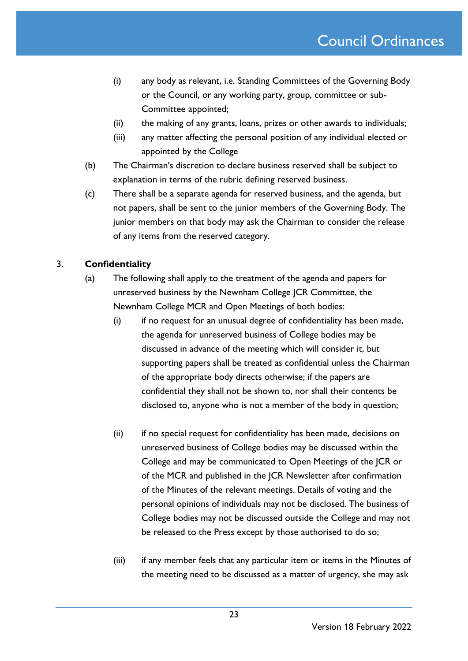- (i) any body as relevant, i.e. Standing Committees of the Governing Body or the Council, or any working party, group, committee or sub-Committee appointed;
- (ii) the making of any grants, loans, prizes or other awards to individuals;
- (iii) any matter affecting the personal position of any individual elected or appointed by the College
- (b) The Chairman's discretion to declare business reserved shall be subject to explanation in terms of the rubric defining reserved business.
- (c) There shall be a separate agenda for reserved business, and the agenda, but not papers, shall be sent to the junior members of the Governing Body. The junior members on that body may ask the Chairman to consider the release of any items from the reserved category.

### 3. **Confidentiality**

- (a) The following shall apply to the treatment of the agenda and papers for unreserved business by the Newnham College JCR Committee, the Newnham College MCR and Open Meetings of both bodies:
	- (i) if no request for an unusual degree of confidentiality has been made, the agenda for unreserved business of College bodies may be discussed in advance of the meeting which will consider it, but supporting papers shall be treated as confidential unless the Chairman of the appropriate body directs otherwise; if the papers are confidential they shall not be shown to, nor shall their contents be disclosed to, anyone who is not a member of the body in question;
	- (ii) if no special request for confidentiality has been made, decisions on unreserved business of College bodies may be discussed within the College and may be communicated to Open Meetings of the JCR or of the MCR and published in the JCR Newsletter after confirmation of the Minutes of the relevant meetings. Details of voting and the personal opinions of individuals may not be disclosed. The business of College bodies may not be discussed outside the College and may not be released to the Press except by those authorised to do so;
	- (iii) if any member feels that any particular item or items in the Minutes of the meeting need to be discussed as a matter of urgency, she may ask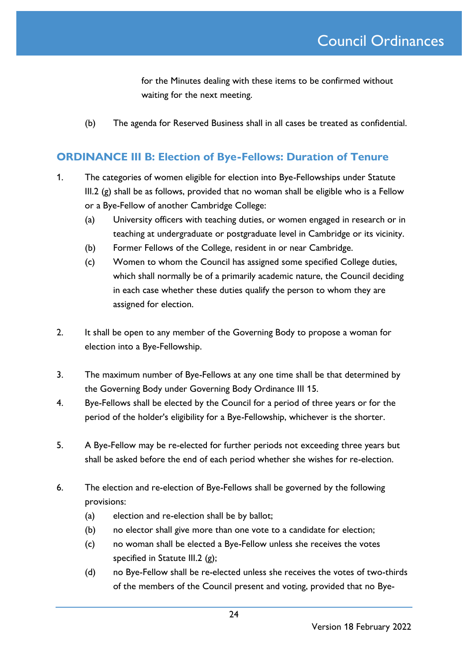for the Minutes dealing with these items to be confirmed without waiting for the next meeting.

(b) The agenda for Reserved Business shall in all cases be treated as confidential.

### **ORDINANCE III B: Election of Bye-Fellows: Duration of Tenure**

- 1. The categories of women eligible for election into Bye-Fellowships under Statute III.2  $(g)$  shall be as follows, provided that no woman shall be eligible who is a Fellow or a Bye-Fellow of another Cambridge College:
	- (a) University officers with teaching duties, or women engaged in research or in teaching at undergraduate or postgraduate level in Cambridge or its vicinity.
	- (b) Former Fellows of the College, resident in or near Cambridge.
	- (c) Women to whom the Council has assigned some specified College duties, which shall normally be of a primarily academic nature, the Council deciding in each case whether these duties qualify the person to whom they are assigned for election.
- 2. It shall be open to any member of the Governing Body to propose a woman for election into a Bye-Fellowship.
- 3. The maximum number of Bye-Fellows at any one time shall be that determined by the Governing Body under Governing Body Ordinance III 15.
- 4. Bye-Fellows shall be elected by the Council for a period of three years or for the period of the holder's eligibility for a Bye-Fellowship, whichever is the shorter.
- 5. A Bye-Fellow may be re-elected for further periods not exceeding three years but shall be asked before the end of each period whether she wishes for re-election.
- 6. The election and re-election of Bye-Fellows shall be governed by the following provisions:
	- (a) election and re-election shall be by ballot;
	- (b) no elector shall give more than one vote to a candidate for election;
	- (c) no woman shall be elected a Bye-Fellow unless she receives the votes specified in Statute III.2 (g);
	- (d) no Bye-Fellow shall be re-elected unless she receives the votes of two-thirds of the members of the Council present and voting, provided that no Bye-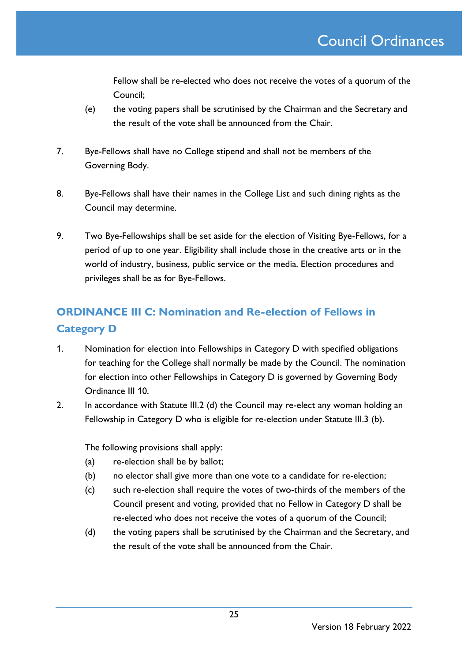Fellow shall be re-elected who does not receive the votes of a quorum of the Council;

- (e) the voting papers shall be scrutinised by the Chairman and the Secretary and the result of the vote shall be announced from the Chair.
- 7. Bye-Fellows shall have no College stipend and shall not be members of the Governing Body.
- 8. Bye-Fellows shall have their names in the College List and such dining rights as the Council may determine.
- 9. Two Bye-Fellowships shall be set aside for the election of Visiting Bye-Fellows, for a period of up to one year. Eligibility shall include those in the creative arts or in the world of industry, business, public service or the media. Election procedures and privileges shall be as for Bye-Fellows.

## **ORDINANCE III C: Nomination and Re-election of Fellows in Category D**

- 1. Nomination for election into Fellowships in Category D with specified obligations for teaching for the College shall normally be made by the Council. The nomination for election into other Fellowships in Category D is governed by Governing Body Ordinance III 10.
- 2. In accordance with Statute III.2 (d) the Council may re-elect any woman holding an Fellowship in Category D who is eligible for re-election under Statute III.3 (b).

The following provisions shall apply:

- (a) re-election shall be by ballot;
- (b) no elector shall give more than one vote to a candidate for re-election;
- (c) such re-election shall require the votes of two-thirds of the members of the Council present and voting, provided that no Fellow in Category D shall be re-elected who does not receive the votes of a quorum of the Council;
- (d) the voting papers shall be scrutinised by the Chairman and the Secretary, and the result of the vote shall be announced from the Chair.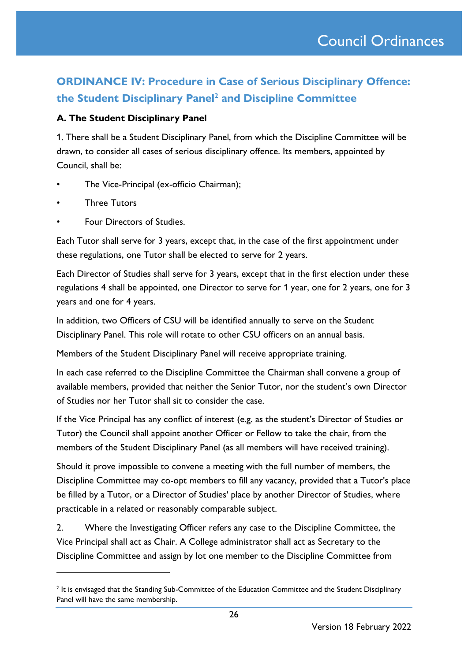## **ORDINANCE IV: Procedure in Case of Serious Disciplinary Offence: the Student Disciplinary Panel<sup>2</sup> and Discipline Committee**

### **A. The Student Disciplinary Panel**

1. There shall be a Student Disciplinary Panel, from which the Discipline Committee will be drawn, to consider all cases of serious disciplinary offence. Its members, appointed by Council, shall be:

- The Vice-Principal (ex-officio Chairman);
- **Three Tutors**
- Four Directors of Studies.

Each Tutor shall serve for 3 years, except that, in the case of the first appointment under these regulations, one Tutor shall be elected to serve for 2 years.

Each Director of Studies shall serve for 3 years, except that in the first election under these regulations 4 shall be appointed, one Director to serve for 1 year, one for 2 years, one for 3 years and one for 4 years.

In addition, two Officers of CSU will be identified annually to serve on the Student Disciplinary Panel. This role will rotate to other CSU officers on an annual basis.

Members of the Student Disciplinary Panel will receive appropriate training.

In each case referred to the Discipline Committee the Chairman shall convene a group of available members, provided that neither the Senior Tutor, nor the student's own Director of Studies nor her Tutor shall sit to consider the case.

If the Vice Principal has any conflict of interest (e.g. as the student's Director of Studies or Tutor) the Council shall appoint another Officer or Fellow to take the chair, from the members of the Student Disciplinary Panel (as all members will have received training).

Should it prove impossible to convene a meeting with the full number of members, the Discipline Committee may co-opt members to fill any vacancy, provided that a Tutor's place be filled by a Tutor, or a Director of Studies' place by another Director of Studies, where practicable in a related or reasonably comparable subject.

2. Where the Investigating Officer refers any case to the Discipline Committee, the Vice Principal shall act as Chair. A College administrator shall act as Secretary to the Discipline Committee and assign by lot one member to the Discipline Committee from

<sup>&</sup>lt;sup>2</sup> It is envisaged that the Standing Sub-Committee of the Education Committee and the Student Disciplinary Panel will have the same membership.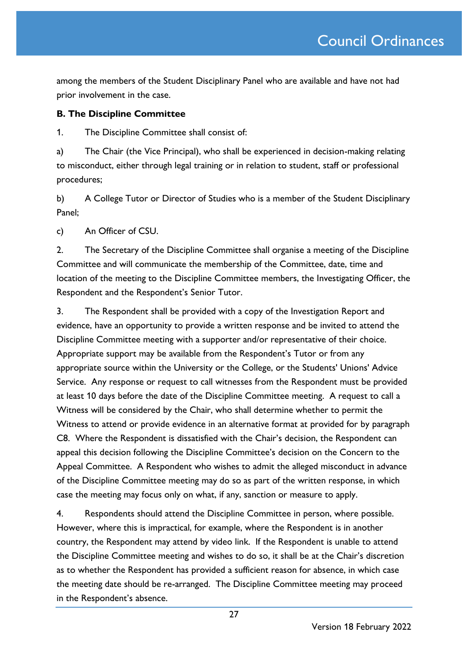among the members of the Student Disciplinary Panel who are available and have not had prior involvement in the case.

### **B. The Discipline Committee**

1. The Discipline Committee shall consist of:

a) The Chair (the Vice Principal), who shall be experienced in decision-making relating to misconduct, either through legal training or in relation to student, staff or professional procedures;

b) A College Tutor or Director of Studies who is a member of the Student Disciplinary Panel;

c) An Officer of CSU.

2. The Secretary of the Discipline Committee shall organise a meeting of the Discipline Committee and will communicate the membership of the Committee, date, time and location of the meeting to the Discipline Committee members, the Investigating Officer, the Respondent and the Respondent's Senior Tutor.

3. The Respondent shall be provided with a copy of the Investigation Report and evidence, have an opportunity to provide a written response and be invited to attend the Discipline Committee meeting with a supporter and/or representative of their choice. Appropriate support may be available from the Respondent's Tutor or from any appropriate source within the University or the College, or the Students' Unions' Advice Service. Any response or request to call witnesses from the Respondent must be provided at least 10 days before the date of the Discipline Committee meeting. A request to call a Witness will be considered by the Chair, who shall determine whether to permit the Witness to attend or provide evidence in an alternative format at provided for by paragraph C8. Where the Respondent is dissatisfied with the Chair's decision, the Respondent can appeal this decision following the Discipline Committee's decision on the Concern to the Appeal Committee. A Respondent who wishes to admit the alleged misconduct in advance of the Discipline Committee meeting may do so as part of the written response, in which case the meeting may focus only on what, if any, sanction or measure to apply.

4. Respondents should attend the Discipline Committee in person, where possible. However, where this is impractical, for example, where the Respondent is in another country, the Respondent may attend by video link. If the Respondent is unable to attend the Discipline Committee meeting and wishes to do so, it shall be at the Chair's discretion as to whether the Respondent has provided a sufficient reason for absence, in which case the meeting date should be re-arranged. The Discipline Committee meeting may proceed in the Respondent's absence.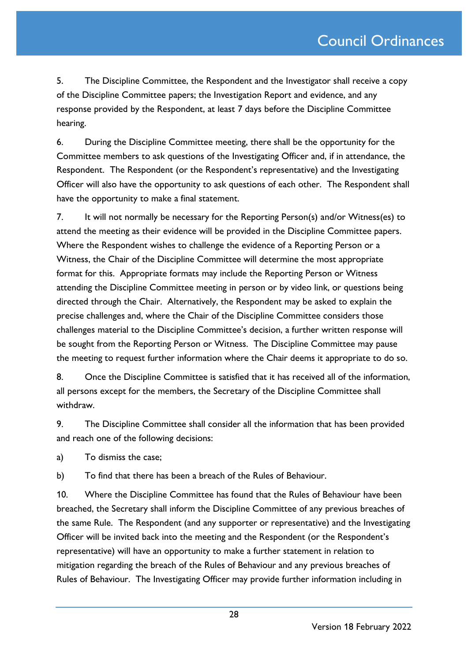5. The Discipline Committee, the Respondent and the Investigator shall receive a copy of the Discipline Committee papers; the Investigation Report and evidence, and any response provided by the Respondent, at least 7 days before the Discipline Committee hearing.

6. During the Discipline Committee meeting, there shall be the opportunity for the Committee members to ask questions of the Investigating Officer and, if in attendance, the Respondent. The Respondent (or the Respondent's representative) and the Investigating Officer will also have the opportunity to ask questions of each other. The Respondent shall have the opportunity to make a final statement.

7. It will not normally be necessary for the Reporting Person(s) and/or Witness(es) to attend the meeting as their evidence will be provided in the Discipline Committee papers. Where the Respondent wishes to challenge the evidence of a Reporting Person or a Witness, the Chair of the Discipline Committee will determine the most appropriate format for this. Appropriate formats may include the Reporting Person or Witness attending the Discipline Committee meeting in person or by video link, or questions being directed through the Chair. Alternatively, the Respondent may be asked to explain the precise challenges and, where the Chair of the Discipline Committee considers those challenges material to the Discipline Committee's decision, a further written response will be sought from the Reporting Person or Witness. The Discipline Committee may pause the meeting to request further information where the Chair deems it appropriate to do so.

8. Once the Discipline Committee is satisfied that it has received all of the information, all persons except for the members, the Secretary of the Discipline Committee shall withdraw.

9. The Discipline Committee shall consider all the information that has been provided and reach one of the following decisions:

a) To dismiss the case;

b) To find that there has been a breach of the Rules of Behaviour.

10. Where the Discipline Committee has found that the Rules of Behaviour have been breached, the Secretary shall inform the Discipline Committee of any previous breaches of the same Rule. The Respondent (and any supporter or representative) and the Investigating Officer will be invited back into the meeting and the Respondent (or the Respondent's representative) will have an opportunity to make a further statement in relation to mitigation regarding the breach of the Rules of Behaviour and any previous breaches of Rules of Behaviour. The Investigating Officer may provide further information including in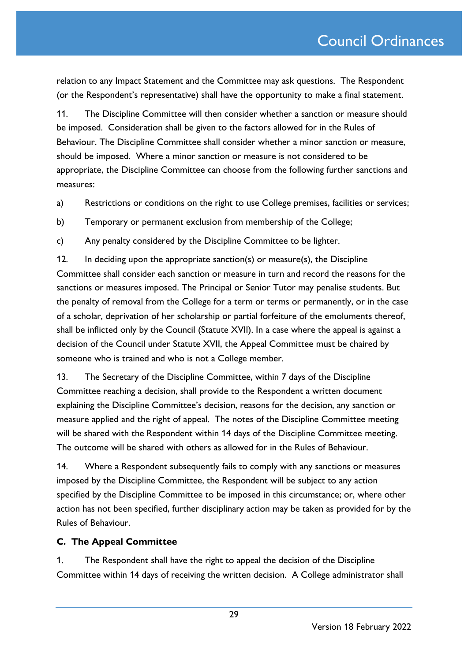relation to any Impact Statement and the Committee may ask questions. The Respondent (or the Respondent's representative) shall have the opportunity to make a final statement.

11. The Discipline Committee will then consider whether a sanction or measure should be imposed. Consideration shall be given to the factors allowed for in the Rules of Behaviour. The Discipline Committee shall consider whether a minor sanction or measure, should be imposed. Where a minor sanction or measure is not considered to be appropriate, the Discipline Committee can choose from the following further sanctions and measures:

a) Restrictions or conditions on the right to use College premises, facilities or services;

b) Temporary or permanent exclusion from membership of the College;

c) Any penalty considered by the Discipline Committee to be lighter.

12. In deciding upon the appropriate sanction(s) or measure(s), the Discipline Committee shall consider each sanction or measure in turn and record the reasons for the sanctions or measures imposed. The Principal or Senior Tutor may penalise students. But the penalty of removal from the College for a term or terms or permanently, or in the case of a scholar, deprivation of her scholarship or partial forfeiture of the emoluments thereof, shall be inflicted only by the Council (Statute XVII). In a case where the appeal is against a decision of the Council under Statute XVII, the Appeal Committee must be chaired by someone who is trained and who is not a College member.

13. The Secretary of the Discipline Committee, within 7 days of the Discipline Committee reaching a decision, shall provide to the Respondent a written document explaining the Discipline Committee's decision, reasons for the decision, any sanction or measure applied and the right of appeal. The notes of the Discipline Committee meeting will be shared with the Respondent within 14 days of the Discipline Committee meeting. The outcome will be shared with others as allowed for in the Rules of Behaviour.

14. Where a Respondent subsequently fails to comply with any sanctions or measures imposed by the Discipline Committee, the Respondent will be subject to any action specified by the Discipline Committee to be imposed in this circumstance; or, where other action has not been specified, further disciplinary action may be taken as provided for by the Rules of Behaviour.

### **C. The Appeal Committee**

1. The Respondent shall have the right to appeal the decision of the Discipline Committee within 14 days of receiving the written decision. A College administrator shall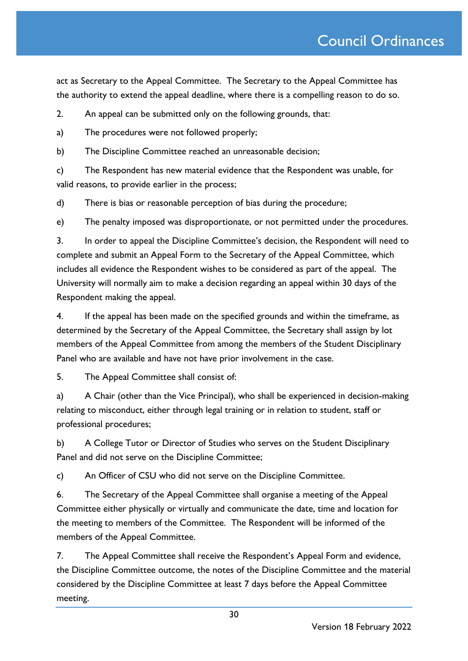act as Secretary to the Appeal Committee. The Secretary to the Appeal Committee has the authority to extend the appeal deadline, where there is a compelling reason to do so.

2. An appeal can be submitted only on the following grounds, that:

a) The procedures were not followed properly;

b) The Discipline Committee reached an unreasonable decision;

c) The Respondent has new material evidence that the Respondent was unable, for valid reasons, to provide earlier in the process;

d) There is bias or reasonable perception of bias during the procedure;

e) The penalty imposed was disproportionate, or not permitted under the procedures.

3. In order to appeal the Discipline Committee's decision, the Respondent will need to complete and submit an Appeal Form to the Secretary of the Appeal Committee, which includes all evidence the Respondent wishes to be considered as part of the appeal. The University will normally aim to make a decision regarding an appeal within 30 days of the Respondent making the appeal.

4. If the appeal has been made on the specified grounds and within the timeframe, as determined by the Secretary of the Appeal Committee, the Secretary shall assign by lot members of the Appeal Committee from among the members of the Student Disciplinary Panel who are available and have not have prior involvement in the case.

5. The Appeal Committee shall consist of:

a) A Chair (other than the Vice Principal), who shall be experienced in decision-making relating to misconduct, either through legal training or in relation to student, staff or professional procedures;

b) A College Tutor or Director of Studies who serves on the Student Disciplinary Panel and did not serve on the Discipline Committee;

c) An Officer of CSU who did not serve on the Discipline Committee.

6. The Secretary of the Appeal Committee shall organise a meeting of the Appeal Committee either physically or virtually and communicate the date, time and location for the meeting to members of the Committee. The Respondent will be informed of the members of the Appeal Committee.

7. The Appeal Committee shall receive the Respondent's Appeal Form and evidence, the Discipline Committee outcome, the notes of the Discipline Committee and the material considered by the Discipline Committee at least 7 days before the Appeal Committee meeting.

Version 18 February 2022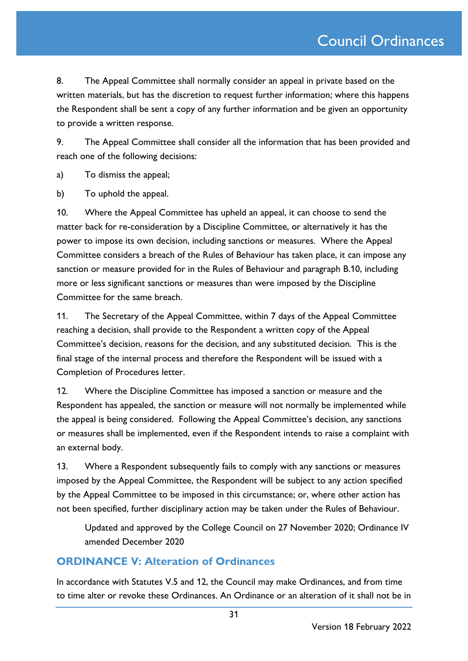8. The Appeal Committee shall normally consider an appeal in private based on the written materials, but has the discretion to request further information; where this happens the Respondent shall be sent a copy of any further information and be given an opportunity to provide a written response.

9. The Appeal Committee shall consider all the information that has been provided and reach one of the following decisions:

a) To dismiss the appeal;

b) To uphold the appeal.

10. Where the Appeal Committee has upheld an appeal, it can choose to send the matter back for re-consideration by a Discipline Committee, or alternatively it has the power to impose its own decision, including sanctions or measures. Where the Appeal Committee considers a breach of the Rules of Behaviour has taken place, it can impose any sanction or measure provided for in the Rules of Behaviour and paragraph B.10, including more or less significant sanctions or measures than were imposed by the Discipline Committee for the same breach.

11. The Secretary of the Appeal Committee, within 7 days of the Appeal Committee reaching a decision, shall provide to the Respondent a written copy of the Appeal Committee's decision, reasons for the decision, and any substituted decision. This is the final stage of the internal process and therefore the Respondent will be issued with a Completion of Procedures letter.

12. Where the Discipline Committee has imposed a sanction or measure and the Respondent has appealed, the sanction or measure will not normally be implemented while the appeal is being considered. Following the Appeal Committee's decision, any sanctions or measures shall be implemented, even if the Respondent intends to raise a complaint with an external body.

13. Where a Respondent subsequently fails to comply with any sanctions or measures imposed by the Appeal Committee, the Respondent will be subject to any action specified by the Appeal Committee to be imposed in this circumstance; or, where other action has not been specified, further disciplinary action may be taken under the Rules of Behaviour.

Updated and approved by the College Council on 27 November 2020; Ordinance IV amended December 2020

### **ORDINANCE V: Alteration of Ordinances**

In accordance with Statutes V.5 and 12, the Council may make Ordinances, and from time to time alter or revoke these Ordinances. An Ordinance or an alteration of it shall not be in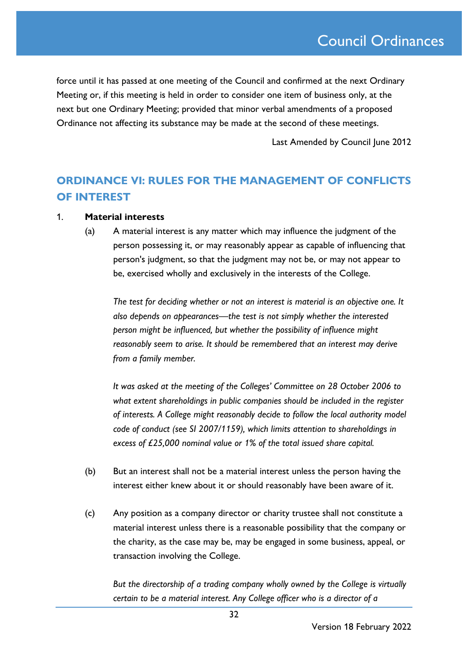force until it has passed at one meeting of the Council and confirmed at the next Ordinary Meeting or, if this meeting is held in order to consider one item of business only, at the next but one Ordinary Meeting; provided that minor verbal amendments of a proposed Ordinance not affecting its substance may be made at the second of these meetings.

Last Amended by Council June 2012

## **ORDINANCE VI: RULES FOR THE MANAGEMENT OF CONFLICTS OF INTEREST**

### 1. **Material interests**

(a) A material interest is any matter which may influence the judgment of the person possessing it, or may reasonably appear as capable of influencing that person's judgment, so that the judgment may not be, or may not appear to be, exercised wholly and exclusively in the interests of the College.

*The test for deciding whether or not an interest is material is an objective one. It also depends on appearances—the test is not simply whether the interested person might be influenced, but whether the possibility of influence might reasonably seem to arise. It should be remembered that an interest may derive from a family member.*

*It was asked at the meeting of the Colleges' Committee on 28 October 2006 to what extent shareholdings in public companies should be included in the register of interests. A College might reasonably decide to follow the local authority model code of conduct (see SI 2007/1159), which limits attention to shareholdings in excess of £25,000 nominal value or 1% of the total issued share capital.*

- (b) But an interest shall not be a material interest unless the person having the interest either knew about it or should reasonably have been aware of it.
- (c) Any position as a company director or charity trustee shall not constitute a material interest unless there is a reasonable possibility that the company or the charity, as the case may be, may be engaged in some business, appeal, or transaction involving the College.

*But the directorship of a trading company wholly owned by the College is virtually certain to be a material interest. Any College officer who is a director of a*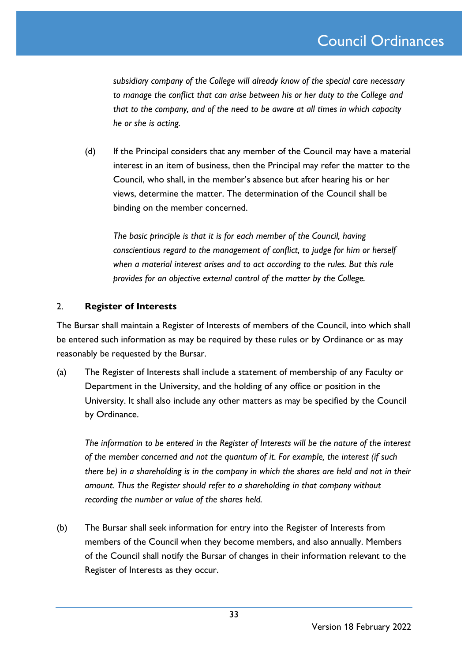*subsidiary company of the College will already know of the special care necessary to manage the conflict that can arise between his or her duty to the College and that to the company, and of the need to be aware at all times in which capacity he or she is acting.*

(d) If the Principal considers that any member of the Council may have a material interest in an item of business, then the Principal may refer the matter to the Council, who shall, in the member's absence but after hearing his or her views, determine the matter. The determination of the Council shall be binding on the member concerned.

*The basic principle is that it is for each member of the Council, having conscientious regard to the management of conflict, to judge for him or herself when a material interest arises and to act according to the rules. But this rule provides for an objective external control of the matter by the College.*

### 2. **Register of Interests**

The Bursar shall maintain a Register of Interests of members of the Council, into which shall be entered such information as may be required by these rules or by Ordinance or as may reasonably be requested by the Bursar.

(a) The Register of Interests shall include a statement of membership of any Faculty or Department in the University, and the holding of any office or position in the University. It shall also include any other matters as may be specified by the Council by Ordinance.

*The information to be entered in the Register of Interests will be the nature of the interest of the member concerned and not the quantum of it. For example, the interest (if such there be) in a shareholding is in the company in which the shares are held and not in their amount. Thus the Register should refer to a shareholding in that company without recording the number or value of the shares held.*

(b) The Bursar shall seek information for entry into the Register of Interests from members of the Council when they become members, and also annually. Members of the Council shall notify the Bursar of changes in their information relevant to the Register of Interests as they occur.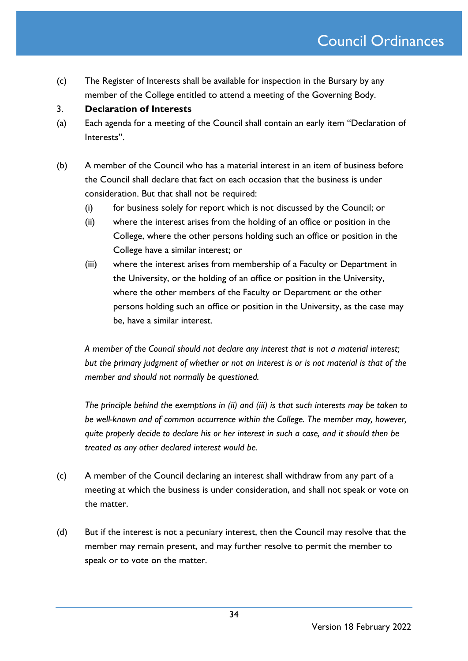(c) The Register of Interests shall be available for inspection in the Bursary by any member of the College entitled to attend a meeting of the Governing Body.

### 3. **Declaration of Interests**

- (a) Each agenda for a meeting of the Council shall contain an early item "Declaration of Interests".
- (b) A member of the Council who has a material interest in an item of business before the Council shall declare that fact on each occasion that the business is under consideration. But that shall not be required:
	- (i) for business solely for report which is not discussed by the Council; or
	- (ii) where the interest arises from the holding of an office or position in the College, where the other persons holding such an office or position in the College have a similar interest; or
	- (iii) where the interest arises from membership of a Faculty or Department in the University, or the holding of an office or position in the University, where the other members of the Faculty or Department or the other persons holding such an office or position in the University, as the case may be, have a similar interest.

*A member of the Council should not declare any interest that is not a material interest; but the primary judgment of whether or not an interest is or is not material is that of the member and should not normally be questioned.*

*The principle behind the exemptions in (ii) and (iii) is that such interests may be taken to be well-known and of common occurrence within the College. The member may, however, quite properly decide to declare his or her interest in such a case, and it should then be treated as any other declared interest would be.*

- (c) A member of the Council declaring an interest shall withdraw from any part of a meeting at which the business is under consideration, and shall not speak or vote on the matter.
- (d) But if the interest is not a pecuniary interest, then the Council may resolve that the member may remain present, and may further resolve to permit the member to speak or to vote on the matter.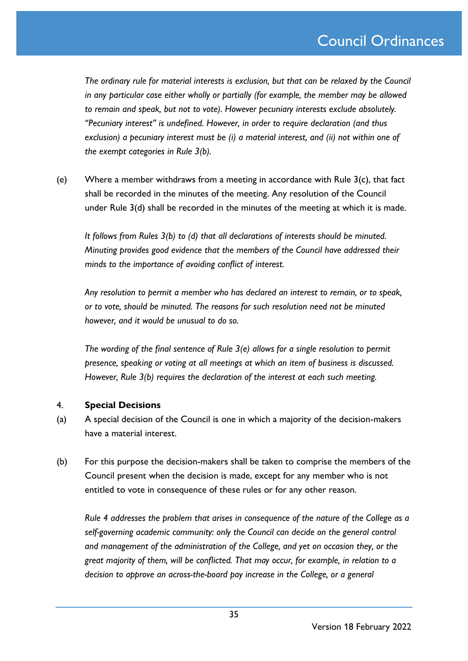*The ordinary rule for material interests is exclusion, but that can be relaxed by the Council in any particular case either wholly or partially (for example, the member may be allowed to remain and speak, but not to vote). However pecuniary interests exclude absolutely. "Pecuniary interest" is undefined. However, in order to require declaration (and thus exclusion) a pecuniary interest must be (i) a material interest, and (ii) not within one of the exempt categories in Rule 3(b).*

(e) Where a member withdraws from a meeting in accordance with Rule 3(c), that fact shall be recorded in the minutes of the meeting. Any resolution of the Council under Rule 3(d) shall be recorded in the minutes of the meeting at which it is made.

*It follows from Rules 3(b) to (d) that all declarations of interests should be minuted. Minuting provides good evidence that the members of the Council have addressed their minds to the importance of avoiding conflict of interest.* 

*Any resolution to permit a member who has declared an interest to remain, or to speak, or to vote, should be minuted. The reasons for such resolution need not be minuted however, and it would be unusual to do so.*

*The wording of the final sentence of Rule 3(e) allows for a single resolution to permit presence, speaking or voting at all meetings at which an item of business is discussed. However, Rule 3(b) requires the declaration of the interest at each such meeting.* 

### 4. **Special Decisions**

- (a) A special decision of the Council is one in which a majority of the decision-makers have a material interest.
- (b) For this purpose the decision-makers shall be taken to comprise the members of the Council present when the decision is made, except for any member who is not entitled to vote in consequence of these rules or for any other reason.

*Rule 4 addresses the problem that arises in consequence of the nature of the College as a self-governing academic community: only the Council can decide on the general control and management of the administration of the College, and yet on occasion they, or the great majority of them, will be conflicted. That may occur, for example, in relation to a decision to approve an across-the-board pay increase in the College, or a general*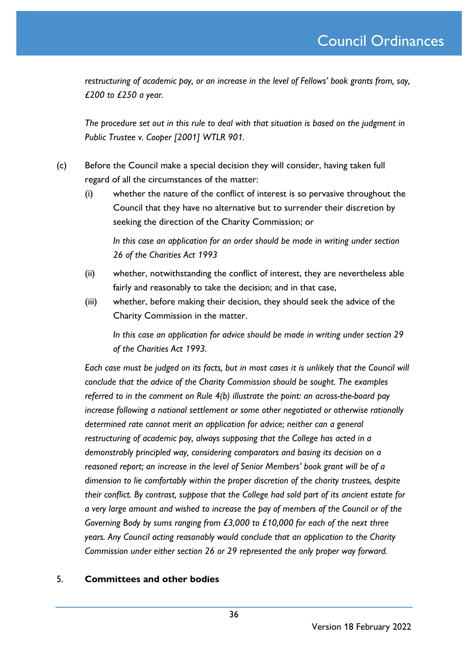*restructuring of academic pay, or an increase in the level of Fellows' book grants from, say, £200 to £250 a year.*

*The procedure set out in this rule to deal with that situation is based on the judgment in Public Trustee v. Cooper [2001] WTLR 901.*

- (c) Before the Council make a special decision they will consider, having taken full regard of all the circumstances of the matter:
	- (i) whether the nature of the conflict of interest is so pervasive throughout the Council that they have no alternative but to surrender their discretion by seeking the direction of the Charity Commission; or

*In this case an application for an order should be made in writing under section 26 of the Charities Act 1993*

- (ii) whether, notwithstanding the conflict of interest, they are nevertheless able fairly and reasonably to take the decision; and in that case,
- (iii) whether, before making their decision, they should seek the advice of the Charity Commission in the matter.

*In this case an application for advice should be made in writing under section 29 of the Charities Act 1993.*

*Each case must be judged on its facts, but in most cases it is unlikely that the Council will conclude that the advice of the Charity Commission should be sought. The examples referred to in the comment on Rule 4(b) illustrate the point: an across-the-board pay increase following a national settlement or some other negotiated or otherwise rationally determined rate cannot merit an application for advice; neither can a general restructuring of academic pay, always supposing that the College has acted in a demonstrably principled way, considering comparators and basing its decision on a reasoned report; an increase in the level of Senior Members' book grant will be of a dimension to lie comfortably within the proper discretion of the charity trustees, despite their conflict. By contrast, suppose that the College had sold part of its ancient estate for a very large amount and wished to increase the pay of members of the Council or of the Governing Body by sums ranging from £3,000 to £10,000 for each of the next three years. Any Council acting reasonably would conclude that an application to the Charity Commission under either section 26 or 29 represented the only proper way forward.* 

### 5. **Committees and other bodies**